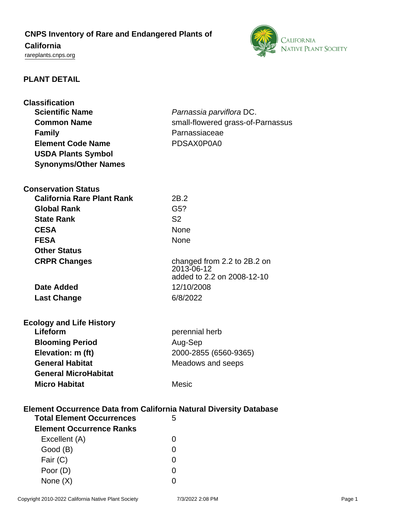# **CNPS Inventory of Rare and Endangered Plants of**

## **California**

<rareplants.cnps.org>



## **PLANT DETAIL**

| <b>Classification</b>                                                     |                                           |
|---------------------------------------------------------------------------|-------------------------------------------|
| <b>Scientific Name</b>                                                    | Parnassia parviflora DC.                  |
| <b>Common Name</b>                                                        | small-flowered grass-of-Parnassus         |
| <b>Family</b>                                                             | Parnassiaceae                             |
| <b>Element Code Name</b>                                                  | PDSAX0P0A0                                |
| <b>USDA Plants Symbol</b>                                                 |                                           |
| <b>Synonyms/Other Names</b>                                               |                                           |
|                                                                           |                                           |
| <b>Conservation Status</b>                                                |                                           |
| <b>California Rare Plant Rank</b>                                         | 2B.2                                      |
| <b>Global Rank</b>                                                        | G5?                                       |
| <b>State Rank</b>                                                         | S <sub>2</sub>                            |
| <b>CESA</b>                                                               | <b>None</b>                               |
|                                                                           |                                           |
| <b>FESA</b>                                                               | None                                      |
| <b>Other Status</b>                                                       |                                           |
| <b>CRPR Changes</b>                                                       | changed from 2.2 to 2B.2 on<br>2013-06-12 |
|                                                                           | added to 2.2 on 2008-12-10                |
| Date Added                                                                | 12/10/2008                                |
| <b>Last Change</b>                                                        | 6/8/2022                                  |
|                                                                           |                                           |
|                                                                           |                                           |
| <b>Ecology and Life History</b><br>Lifeform                               | perennial herb                            |
|                                                                           |                                           |
| <b>Blooming Period</b>                                                    | Aug-Sep                                   |
| Elevation: m (ft)                                                         | 2000-2855 (6560-9365)                     |
| <b>General Habitat</b>                                                    | Meadows and seeps                         |
| <b>General MicroHabitat</b>                                               |                                           |
| <b>Micro Habitat</b>                                                      | <b>Mesic</b>                              |
|                                                                           |                                           |
| <b>Element Occurrence Data from California Natural Diversity Database</b> |                                           |
| <b>Total Element Occurrences</b>                                          | 5                                         |
| <b>Element Occurrence Ranks</b>                                           |                                           |
| Excellent (A)                                                             | $\Omega$                                  |
| Good (B)                                                                  | 0                                         |
| Fair (C)                                                                  | 0                                         |
| Poor (D)                                                                  | $\Omega$                                  |
| None $(X)$                                                                | 0                                         |